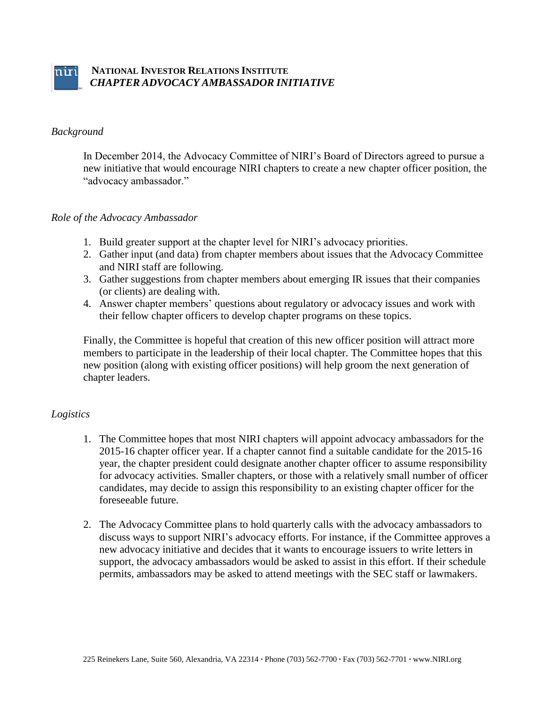

# *Background*

In December 2014, the Advocacy Committee of NIRI's Board of Directors agreed to pursue a new initiative that would encourage NIRI chapters to create a new chapter officer position, the "advocacy ambassador."

# *Role of the Advocacy Ambassador*

- 1. Build greater support at the chapter level for NIRI's advocacy priorities.
- 2. Gather input (and data) from chapter members about issues that the Advocacy Committee and NIRI staff are following.
- 3. Gather suggestions from chapter members about emerging IR issues that their companies (or clients) are dealing with.
- 4. Answer chapter members' questions about regulatory or advocacy issues and work with their fellow chapter officers to develop chapter programs on these topics.

Finally, the Committee is hopeful that creation of this new officer position will attract more members to participate in the leadership of their local chapter. The Committee hopes that this new position (along with existing officer positions) will help groom the next generation of chapter leaders.

# *Logistics*

- 1. The Committee hopes that most NIRI chapters will appoint advocacy ambassadors for the 2015-16 chapter officer year. If a chapter cannot find a suitable candidate for the 2015-16 year, the chapter president could designate another chapter officer to assume responsibility for advocacy activities. Smaller chapters, or those with a relatively small number of officer candidates, may decide to assign this responsibility to an existing chapter officer for the foreseeable future.
- 2. The Advocacy Committee plans to hold quarterly calls with the advocacy ambassadors to discuss ways to support NIRI's advocacy efforts. For instance, if the Committee approves a new advocacy initiative and decides that it wants to encourage issuers to write letters in support, the advocacy ambassadors would be asked to assist in this effort. If their schedule permits, ambassadors may be asked to attend meetings with the SEC staff or lawmakers.